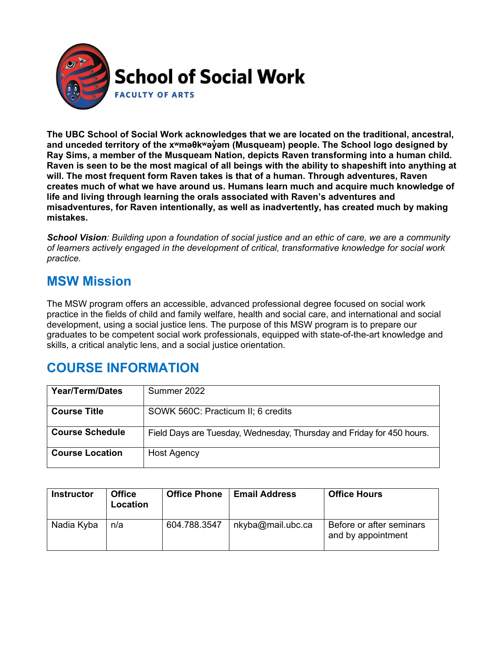

**The UBC School of Social Work acknowledges that we are located on the traditional, ancestral, and unceded territory of the [xʷməθkʷəy̓əm](http://www.musqueam.bc.ca/) (Musqueam) people. The School logo designed by Ray Sims, a member of the Musqueam Nation, depicts Raven transforming into a human child. Raven is seen to be the most magical of all beings with the ability to shapeshift into anything at will. The most frequent form Raven takes is that of a human. Through adventures, Raven creates much of what we have around us. Humans learn much and acquire much knowledge of life and living through learning the orals associated with Raven's adventures and misadventures, for Raven intentionally, as well as inadvertently, has created much by making mistakes.**

*School Vision: Building upon a foundation of social justice and an ethic of care, we are a community of learners actively engaged in the development of critical, transformative knowledge for social work practice.*

### **MSW Mission**

The MSW program offers an accessible, advanced professional degree focused on social work practice in the fields of child and family welfare, health and social care, and international and social development, using a social justice lens. The purpose of this MSW program is to prepare our graduates to be competent social work professionals, equipped with state-of-the-art knowledge and skills, a critical analytic lens, and a social justice orientation.

# **COURSE INFORMATION**

| Year/Term/Dates        | Summer 2022                                                           |
|------------------------|-----------------------------------------------------------------------|
| <b>Course Title</b>    | SOWK 560C: Practicum II; 6 credits                                    |
| <b>Course Schedule</b> | Field Days are Tuesday, Wednesday, Thursday and Friday for 450 hours. |
| <b>Course Location</b> | <b>Host Agency</b>                                                    |

| <b>Instructor</b> | <b>Office</b><br>Location | <b>Office Phone</b> | <b>Email Address</b> | <b>Office Hours</b>                            |
|-------------------|---------------------------|---------------------|----------------------|------------------------------------------------|
| Nadia Kyba        | n/a                       | 604.788.3547        | nkyba@mail.ubc.ca    | Before or after seminars<br>and by appointment |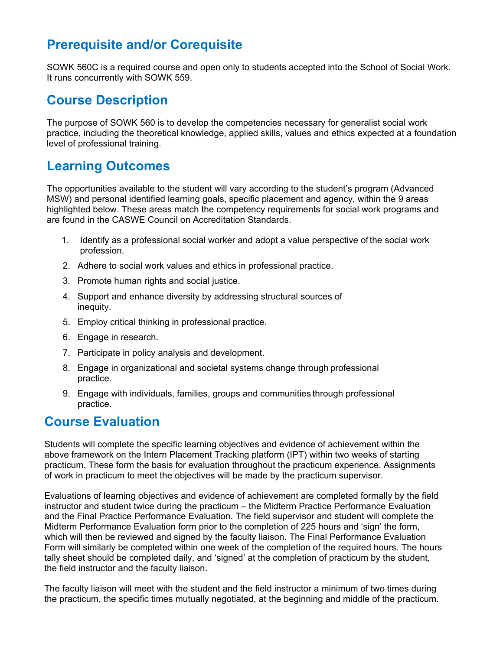# **Prerequisite and/or Corequisite**

SOWK 560C is a required course and open only to students accepted into the School of Social Work. It runs concurrently with SOWK 559.

#### **Course Description**

The purpose of SOWK 560 is to develop the competencies necessary for generalist social work practice, including the theoretical knowledge, applied skills, values and ethics expected at a foundation level of professional training.

### **Learning Outcomes**

The opportunities available to the student will vary according to the student's program (Advanced MSW) and personal identified learning goals, specific placement and agency, within the 9 areas highlighted below. These areas match the competency requirements for social work programs and are found in the CASWE Council on Accreditation Standards.

- 1. Identify as a professional social worker and adopt a value perspective of the social work profession.
- 2. Adhere to social work values and ethics in professional practice.
- 3. Promote human rights and social justice.
- 4. Support and enhance diversity by addressing structural sources of inequity.
- 5. Employ critical thinking in professional practice.
- 6. Engage in research.
- 7. Participate in policy analysis and development.
- 8. Engage in organizational and societal systems change through professional practice.
- 9. Engage with individuals, families, groups and communities through professional practice.

#### **Course Evaluation**

Students will complete the specific learning objectives and evidence of achievement within the above framework on the Intern Placement Tracking platform (IPT) within two weeks of starting practicum. These form the basis for evaluation throughout the practicum experience. Assignments of work in practicum to meet the objectives will be made by the practicum supervisor.

Evaluations of learning objectives and evidence of achievement are completed formally by the field instructor and student twice during the practicum – the Midterm Practice Performance Evaluation and the Final Practice Performance Evaluation. The field supervisor and student will complete the Midterm Performance Evaluation form prior to the completion of 225 hours and 'sign' the form, which will then be reviewed and signed by the faculty liaison. The Final Performance Evaluation Form will similarly be completed within one week of the completion of the required hours. The hours tally sheet should be completed daily, and 'signed' at the completion of practicum by the student, the field instructor and the faculty liaison.

The faculty liaison will meet with the student and the field instructor a minimum of two times during the practicum, the specific times mutually negotiated, at the beginning and middle of the practicum.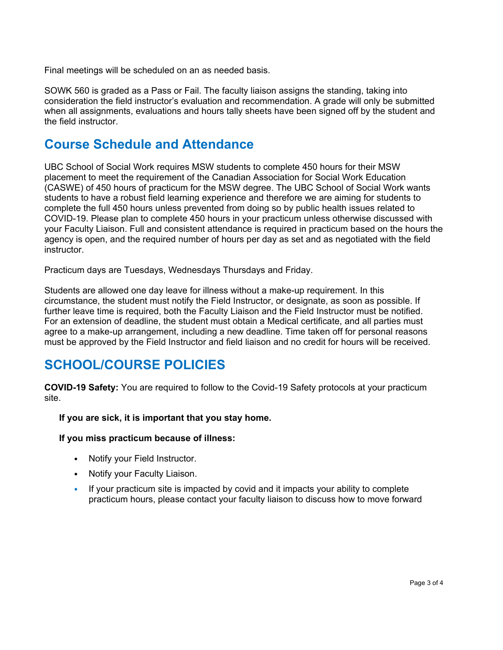Final meetings will be scheduled on an as needed basis.

SOWK 560 is graded as a Pass or Fail. The faculty liaison assigns the standing, taking into consideration the field instructor's evaluation and recommendation. A grade will only be submitted when all assignments, evaluations and hours tally sheets have been signed off by the student and the field instructor.

#### **Course Schedule and Attendance**

UBC School of Social Work requires MSW students to complete 450 hours for their MSW placement to meet the requirement of the Canadian Association for Social Work Education (CASWE) of 450 hours of practicum for the MSW degree. The UBC School of Social Work wants students to have a robust field learning experience and therefore we are aiming for students to complete the full 450 hours unless prevented from doing so by public health issues related to COVID-19. Please plan to complete 450 hours in your practicum unless otherwise discussed with your Faculty Liaison. Full and consistent attendance is required in practicum based on the hours the agency is open, and the required number of hours per day as set and as negotiated with the field instructor.

Practicum days are Tuesdays, Wednesdays Thursdays and Friday.

Students are allowed one day leave for illness without a make-up requirement. In this circumstance, the student must notify the Field Instructor, or designate, as soon as possible. If further leave time is required, both the Faculty Liaison and the Field Instructor must be notified. For an extension of deadline, the student must obtain a Medical certificate, and all parties must agree to a make-up arrangement, including a new deadline. Time taken off for personal reasons must be approved by the Field Instructor and field liaison and no credit for hours will be received.

# **SCHOOL/COURSE POLICIES**

**COVID-19 Safety:** You are required to follow to the Covid-19 Safety protocols at your practicum site.

**If you are sick, it is important that you stay home.**

#### **If you miss practicum because of illness:**

- Notify your Field Instructor.
- Notify your Faculty Liaison.
- If your practicum site is impacted by covid and it impacts your ability to complete practicum hours, please contact your faculty liaison to discuss how to move forward